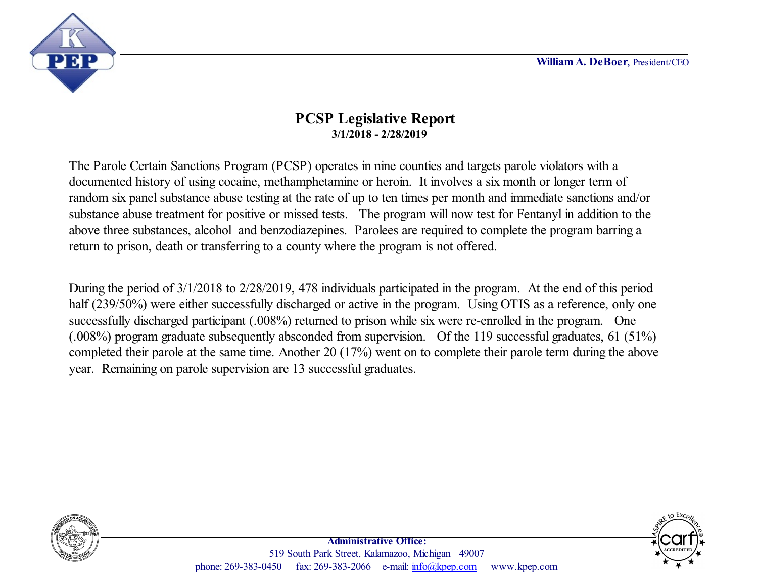**William A. DeBoer**, President/CEO



## **PCSP Legislative Report 3/1/2018 - 2/28/2019**

The Parole Certain Sanctions Program (PCSP) operates in nine counties and targets parole violators with a documented history of using cocaine, methamphetamine or heroin. It involves a six month or longer term of random six panel substance abuse testing at the rate of up to ten times per month and immediate sanctions and/or substance abuse treatment for positive or missed tests. The program will now test for Fentanyl in addition to the above three substances, alcohol and benzodiazepines. Parolees are required to complete the program barring a return to prison, death or transferring to a county where the program is not offered.

During the period of 3/1/2018 to 2/28/2019, 478 individuals participated in the program. At the end of this period half (239/50%) were either successfully discharged or active in the program. Using OTIS as a reference, only one successfully discharged participant (.008%) returned to prison while six were re-enrolled in the program. One (.008%) program graduate subsequently absconded from supervision. Of the 119 successful graduates, 61 (51%) completed their parole at the same time. Another 20 (17%) went on to complete their parole term during the above year. Remaining on parole supervision are 13 successful graduates.



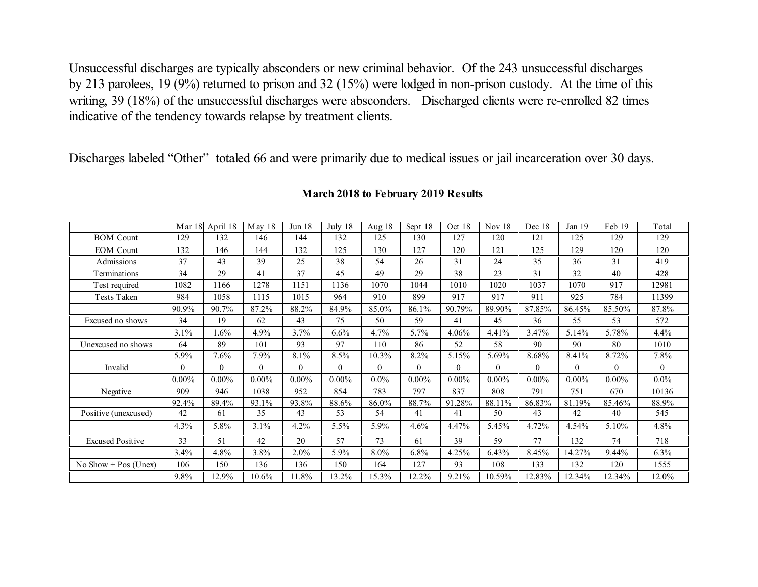Unsuccessful discharges are typically absconders or new criminal behavior. Of the 243 unsuccessful discharges by 213 parolees, 19 (9%) returned to prison and 32 (15%) were lodged in non-prison custody. At the time of this writing, 39 (18%) of the unsuccessful discharges were absconders. Discharged clients were re-enrolled 82 times indicative of the tendency towards relapse by treatment clients.

Discharges labeled "Other" totaled 66 and were primarily due to medical issues or jail incarceration over 30 days.

|                         |          | Mar 18 April 18 | May 18   | Jun <sub>18</sub> | July 18  | Aug 18       | Sept 18        | Oct 18   | Nov $18$ | Dec 18       | Jan 19   | Feb 19   | Total        |
|-------------------------|----------|-----------------|----------|-------------------|----------|--------------|----------------|----------|----------|--------------|----------|----------|--------------|
| <b>BOM</b> Count        | 129      | 132             | 146      | 144               | 132      | 125          | 130            | 127      | 120      | 121          | 125      | 129      | 129          |
| <b>EOM</b> Count        | 132      | 146             | 144      | 132               | 125      | 130          | 127            | 120      | 121      | 125          | 129      | 120      | 120          |
| Admissions              | 37       | 43              | 39       | 25                | 38       | 54           | 26             | 31       | 24       | 35           | 36       | 31       | 419          |
| Terminations            | 34       | 29              | 41       | 37                | 45       | 49           | 29             | 38       | 23       | 31           | 32       | 40       | 428          |
| Test required           | 1082     | 1166            | 1278     | 1151              | 1136     | 1070         | 1044           | 1010     | 1020     | 1037         | 1070     | 917      | 12981        |
| Tests Taken             | 984      | 1058            | 1115     | 1015              | 964      | 910          | 899            | 917      | 917      | 911          | 925      | 784      | 11399        |
|                         | 90.9%    | 90.7%           | 87.2%    | 88.2%             | 84.9%    | 85.0%        | 86.1%          | 90.79%   | 89.90%   | 87.85%       | 86.45%   | 85.50%   | 87.8%        |
| Excused no shows        | 34       | 19              | 62       | 43                | 75       | 50           | 59             | 41       | 45       | 36           | 55       | 53       | 572          |
|                         | 3.1%     | $1.6\%$         | 4.9%     | 3.7%              | 6.6%     | 4.7%         | 5.7%           | 4.06%    | 4.41%    | 3.47%        | 5.14%    | 5.78%    | $4.4\%$      |
| Unexcused no shows      | 64       | 89              | 101      | 93                | 97       | 110          | 86             | 52       | 58       | 90           | 90       | 80       | 1010         |
|                         | 5.9%     | 7.6%            | $7.9\%$  | 8.1%              | 8.5%     | 10.3%        | 8.2%           | 5.15%    | 5.69%    | 8.68%        | 8.41%    | 8.72%    | 7.8%         |
| Invalid                 | $\Omega$ | $\overline{0}$  | $\Omega$ | $\Omega$          | $\theta$ | $\mathbf{0}$ | $\overline{0}$ | $\theta$ | $\Omega$ | $\mathbf{0}$ | $\theta$ | $\theta$ | $\mathbf{0}$ |
|                         | $0.00\%$ | $0.00\%$        | $0.00\%$ | $0.00\%$          | $0.00\%$ | $0.0\%$      | $0.00\%$       | $0.00\%$ | $0.00\%$ | $0.00\%$     | $0.00\%$ | $0.00\%$ | $0.0\%$      |
| Negative                | 909      | 946             | 1038     | 952               | 854      | 783          | 797            | 837      | 808      | 791          | 751      | 670      | 10136        |
|                         | 92.4%    | 89.4%           | 93.1%    | 93.8%             | 88.6%    | 86.0%        | 88.7%          | 91.28%   | 88.11%   | 86.83%       | 81.19%   | 85.46%   | 88.9%        |
| Positive (unexcused)    | 42       | 61              | 35       | 43                | 53       | 54           | 41             | 41       | 50       | 43           | 42       | 40       | 545          |
|                         | 4.3%     | 5.8%            | $3.1\%$  | 4.2%              | 5.5%     | 5.9%         | 4.6%           | 4.47%    | 5.45%    | 4.72%        | 4.54%    | 5.10%    | 4.8%         |
| <b>Excused Positive</b> | 33       | 51              | 42       | 20                | 57       | 73           | 61             | 39       | 59       | 77           | 132      | 74       | 718          |
|                         | 3.4%     | 4.8%            | $3.8\%$  | 2.0%              | 5.9%     | $8.0\%$      | 6.8%           | 4.25%    | 6.43%    | 8.45%        | 14.27%   | 9.44%    | $6.3\%$      |
| No Show + Pos (Unex)    | 106      | 150             | 136      | 136               | 150      | 164          | 127            | 93       | 108      | 133          | 132      | 120      | 1555         |
|                         | 9.8%     | 12.9%           | 10.6%    | 11.8%             | 13.2%    | 15.3%        | 12.2%          | 9.21%    | 10.59%   | 12.83%       | 12.34%   | 12.34%   | 12.0%        |

## **March 2018 to February 2019 Results**